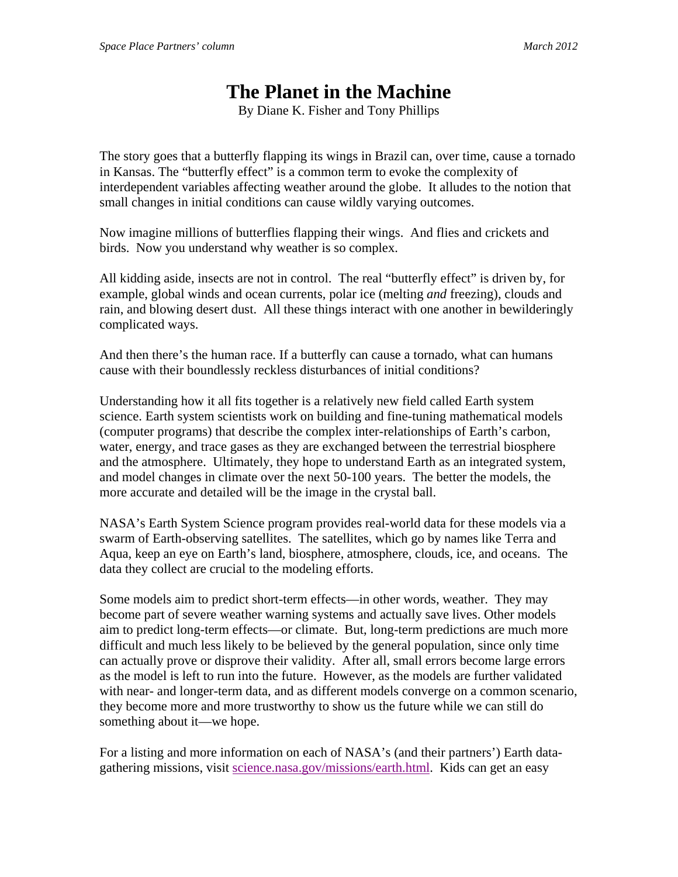## **The Planet in the Machine**

By Diane K. Fisher and Tony Phillips

The story goes that a butterfly flapping its wings in Brazil can, over time, cause a tornado in Kansas. The "butterfly effect" is a common term to evoke the complexity of interdependent variables affecting weather around the globe. It alludes to the notion that small changes in initial conditions can cause wildly varying outcomes.

Now imagine millions of butterflies flapping their wings. And flies and crickets and birds. Now you understand why weather is so complex.

All kidding aside, insects are not in control. The real "butterfly effect" is driven by, for example, global winds and ocean currents, polar ice (melting *and* freezing), clouds and rain, and blowing desert dust. All these things interact with one another in bewilderingly complicated ways.

And then there's the human race. If a butterfly can cause a tornado, what can humans cause with their boundlessly reckless disturbances of initial conditions?

Understanding how it all fits together is a relatively new field called Earth system science. Earth system scientists work on building and fine-tuning mathematical models (computer programs) that describe the complex inter-relationships of Earth's carbon, water, energy, and trace gases as they are exchanged between the terrestrial biosphere and the atmosphere. Ultimately, they hope to understand Earth as an integrated system, and model changes in climate over the next 50-100 years. The better the models, the more accurate and detailed will be the image in the crystal ball.

NASA's Earth System Science program provides real-world data for these models via a swarm of Earth-observing satellites. The satellites, which go by names like Terra and Aqua, keep an eye on Earth's land, biosphere, atmosphere, clouds, ice, and oceans. The data they collect are crucial to the modeling efforts.

Some models aim to predict short-term effects—in other words, weather. They may become part of severe weather warning systems and actually save lives. Other models aim to predict long-term effects—or climate. But, long-term predictions are much more difficult and much less likely to be believed by the general population, since only time can actually prove or disprove their validity. After all, small errors become large errors as the model is left to run into the future. However, as the models are further validated with near- and longer-term data, and as different models converge on a common scenario, they become more and more trustworthy to show us the future while we can still do something about it—we hope.

For a listing and more information on each of NASA's (and their partners') Earth datagathering missions, visit science.nasa.gov/missions/earth.html. Kids can get an easy